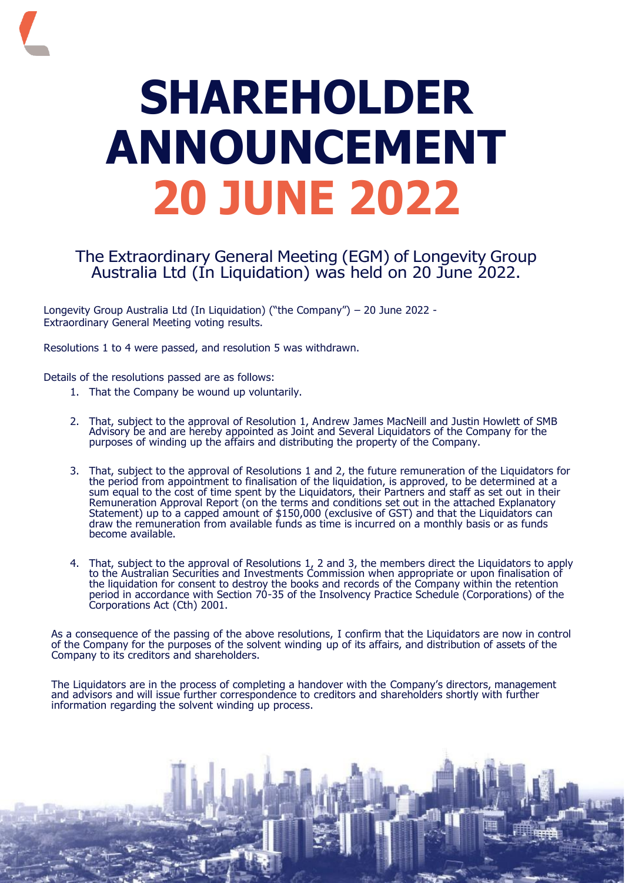## **SHAREHOLDER ANNOUNCEMENT 20 JUNE 2022**

## The Extraordinary General Meeting (EGM) of Longevity Group Australia Ltd (In Liquidation) was held on 20 June 2022.

Longevity Group Australia Ltd (In Liquidation) ("the Company") – 20 June 2022 - Extraordinary General Meeting voting results.

Resolutions 1 to 4 were passed, and resolution 5 was withdrawn.

Details of the resolutions passed are as follows:

- 1. That the Company be wound up voluntarily.
- 2. That, subject to the approval of Resolution 1, Andrew James MacNeill and Justin Howlett of SMB Advisory be and are hereby appointed as Joint and Several Liquidators of the Company for the purposes of winding up the affairs and distributing the property of the Company.
- 3. That, subject to the approval of Resolutions 1 and 2, the future remuneration of the Liquidators for the period from appointment to finalisation of the liquidation, is approved, to be determined at a sum equal to the cost of time spent by the Liquidators, their Partners and staff as set out in their Remuneration Approval Report (on the terms and conditions set out in the attached Explanatory Statement) up to a capped amount of \$150,000 (exclusive of GST) and that the Liquidators can draw the remuneration from available funds as time is incurred on a monthly basis or as funds become available.
- 4. That, subject to the approval of Resolutions 1, 2 and 3, the members direct the Liquidators to apply to the Australian Securities and Investments Commission when appropriate or upon finalisation of the liquidation for consent to destroy the books and records of the Company within the retention period in accordance with Section 70-35 of the Insolvency Practice Schedule (Corporations) of the Corporations Act (Cth) 2001.

As a consequence of the passing of the above resolutions, I confirm that the Liquidators are now in control of the Company for the purposes of the solvent winding up of its affairs, and distribution of assets of the Company to its creditors and shareholders.

The Liquidators are in the process of completing a handover with the Company's directors, management and advisors and will issue further correspondence to creditors and shareholders shortly with further information regarding the solvent winding up process.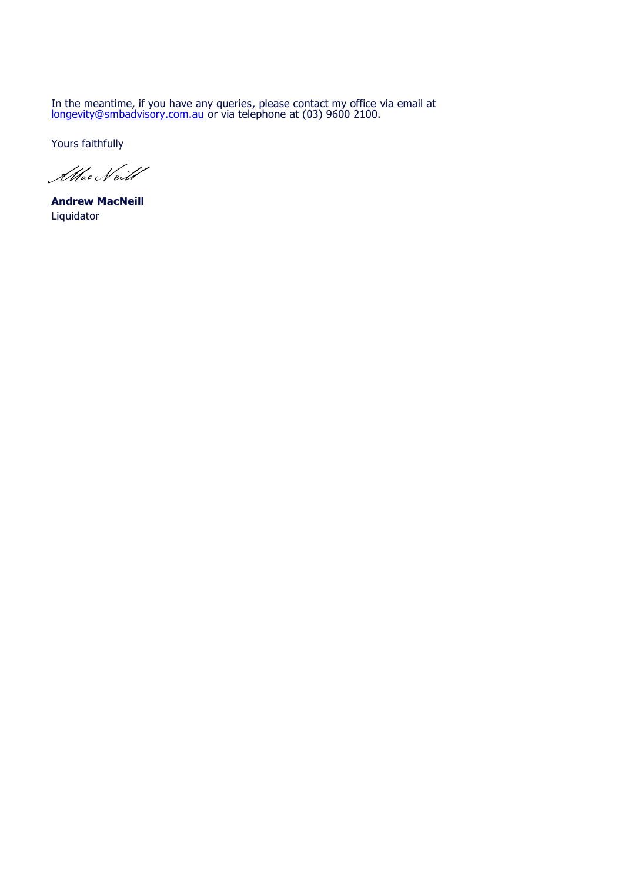In the meantime, if you have any queries, please contact my office via email at [longevity@smbadvisory.com.au](mailto:longevity@smbadvisory.com.au) or via telephone at (03) 9600 2100.

Yours faithfully

Allac Neill

**Andrew MacNeill** Liquidator